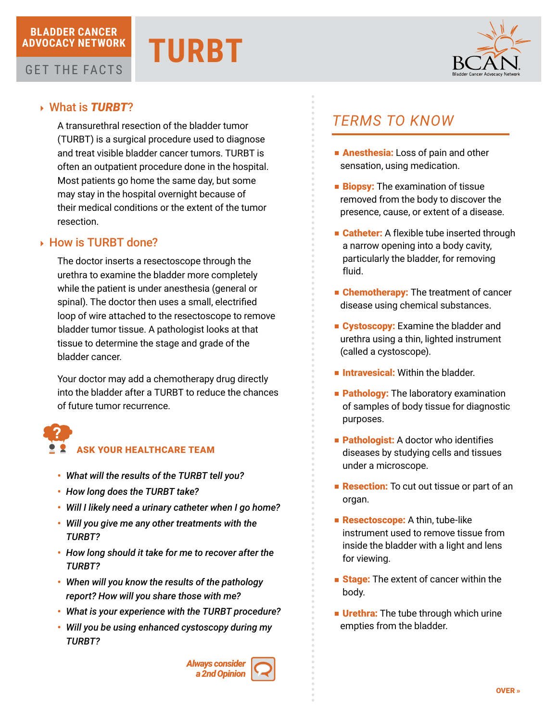# **TURBT**



#### GET THE FACTS

#### 4 What is *TURBT*?

A transurethral resection of the bladder tumor (TURBT) is a surgical procedure used to diagnose and treat visible bladder cancer tumors. TURBT is often an outpatient procedure done in the hospital. Most patients go home the same day, but some may stay in the hospital overnight because of their medical conditions or the extent of the tumor resection.

#### ▶ How is TURBT done?

The doctor inserts a resectoscope through the urethra to examine the bladder more completely while the patient is under anesthesia (general or spinal). The doctor then uses a small, electrified loop of wire attached to the resectoscope to remove bladder tumor tissue. A pathologist looks at that tissue to determine the stage and grade of the bladder cancer.

Your doctor may add a chemotherapy drug directly into the bladder after a TURBT to reduce the chances of future tumor recurrence.

# ASK YOUR HEALTHCARE TEAM

- *What will the results of the TURBT tell you?*
- *How long does the TURBT take?*
- *Will I likely need a urinary catheter when I go home?*
- *Will you give me any other treatments with the TURBT?*
- *How long should it take for me to recover after the TURBT?*
- *When will you know the results of the pathology report? How will you share those with me?*
- *What is your experience with the TURBT procedure?*
- *Will you be using enhanced cystoscopy during my TURBT?*

*Always consider a 2nd Opinion*



# *TERMS TO KNOW*

- **Anesthesia:** Loss of pain and other sensation, using medication.
- **Biopsy:** The examination of tissue removed from the body to discover the presence, cause, or extent of a disease.
- Catheter: A flexible tube inserted through a narrow opening into a body cavity, particularly the bladder, for removing fluid.
- Chemotherapy: The treatment of cancer disease using chemical substances.
- **Examine the bladder and** urethra using a thin, lighted instrument (called a cystoscope).
- **E** Intravesical: Within the bladder.
- **Example 3 Pathology:** The laboratory examination of samples of body tissue for diagnostic purposes.
- Pathologist: A doctor who identifies diseases by studying cells and tissues under a microscope.
- Resection: To cut out tissue or part of an organ.
- Resectoscope: A thin, tube-like instrument used to remove tissue from inside the bladder with a light and lens for viewing.
- Stage: The extent of cancer within the body.
- **Urethra:** The tube through which urine empties from the bladder.